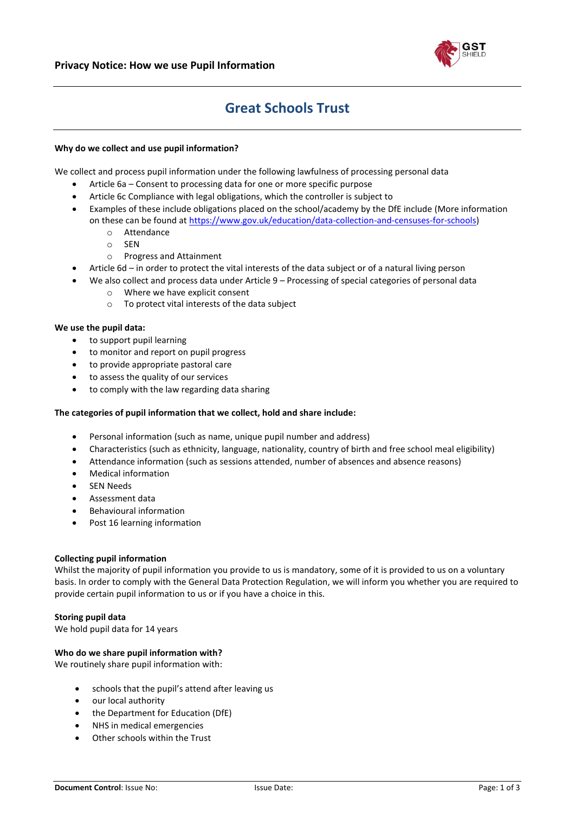

# **Great Schools Trust**

# **Why do we collect and use pupil information?**

We collect and process pupil information under the following lawfulness of processing personal data

- Article 6a Consent to processing data for one or more specific purpose
- Article 6c Compliance with legal obligations, which the controller is subject to
- Examples of these include obligations placed on the school/academy by the DfE include (More information on these can be found at [https://www.gov.uk/education/data-collection-and-censuses-for-schools\)](https://www.gov.uk/education/data-collection-and-censuses-for-schools)
	- o Attendance
	- o SEN
	- o Progress and Attainment
- Article 6d in order to protect the vital interests of the data subject or of a natural living person
- We also collect and process data under Article 9 Processing of special categories of personal data
	- o Where we have explicit consent
	- $\circ$  To protect vital interests of the data subject

# **We use the pupil data:**

- to support pupil learning
- to monitor and report on pupil progress
- to provide appropriate pastoral care
- to assess the quality of our services
- to comply with the law regarding data sharing

# **The categories of pupil information that we collect, hold and share include:**

- Personal information (such as name, unique pupil number and address)
- Characteristics (such as ethnicity, language, nationality, country of birth and free school meal eligibility)
- Attendance information (such as sessions attended, number of absences and absence reasons)
- Medical information
- SEN Needs
- Assessment data
- Behavioural information
- Post 16 learning information

# **Collecting pupil information**

Whilst the majority of pupil information you provide to us is mandatory, some of it is provided to us on a voluntary basis. In order to comply with the General Data Protection Regulation, we will inform you whether you are required to provide certain pupil information to us or if you have a choice in this.

# **Storing pupil data**

We hold pupil data for 14 years

# **Who do we share pupil information with?**

We routinely share pupil information with:

- schools that the pupil's attend after leaving us
- our local authority
- the Department for Education (DfE)
- NHS in medical emergencies
- Other schools within the Trust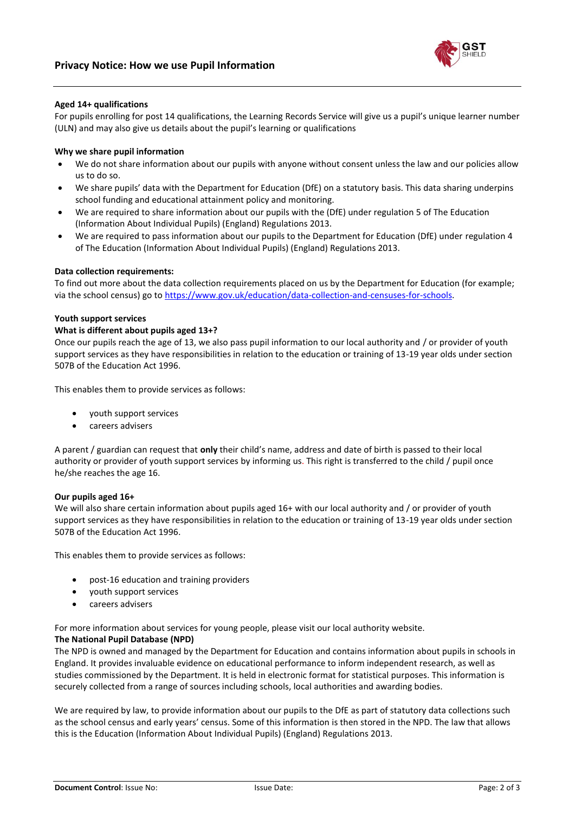

# **Aged 14+ qualifications**

For pupils enrolling for post 14 qualifications, the Learning Records Service will give us a pupil's unique learner number (ULN) and may also give us details about the pupil's learning or qualifications

# **Why we share pupil information**

- We do not share information about our pupils with anyone without consent unless the law and our policies allow us to do so.
- We share pupils' data with the Department for Education (DfE) on a statutory basis. This data sharing underpins school funding and educational attainment policy and monitoring.
- We are required to share information about our pupils with the (DfE) under regulation 5 of The Education (Information About Individual Pupils) (England) Regulations 2013.
- We are required to pass information about our pupils to the Department for Education (DfE) under regulation 4 of The Education (Information About Individual Pupils) (England) Regulations 2013.

#### **Data collection requirements:**

To find out more about the data collection requirements placed on us by the Department for Education (for example; via the school census) go to [https://www.gov.uk/education/data-collection-and-censuses-for-schools.](https://www.gov.uk/education/data-collection-and-censuses-for-schools)

#### **Youth support services**

#### **What is different about pupils aged 13+?**

Once our pupils reach the age of 13, we also pass pupil information to our local authority and / or provider of youth support services as they have responsibilities in relation to the education or training of 13-19 year olds under section 507B of the Education Act 1996.

This enables them to provide services as follows:

- youth support services
- careers advisers

A parent / guardian can request that **only** their child's name, address and date of birth is passed to their local authority or provider of youth support services by informing us. This right is transferred to the child / pupil once he/she reaches the age 16.

#### **Our pupils aged 16+**

We will also share certain information about pupils aged 16+ with our local authority and / or provider of youth support services as they have responsibilities in relation to the education or training of 13-19 year olds under section 507B of the Education Act 1996.

This enables them to provide services as follows:

- post-16 education and training providers
- youth support services
- careers advisers

For more information about services for young people, please visit our local authority website.

#### **The National Pupil Database (NPD)**

The NPD is owned and managed by the Department for Education and contains information about pupils in schools in England. It provides invaluable evidence on educational performance to inform independent research, as well as studies commissioned by the Department. It is held in electronic format for statistical purposes. This information is securely collected from a range of sources including schools, local authorities and awarding bodies.

We are required by law, to provide information about our pupils to the DfE as part of statutory data collections such as the school census and early years' census. Some of this information is then stored in the NPD. The law that allows this is the Education (Information About Individual Pupils) (England) Regulations 2013.